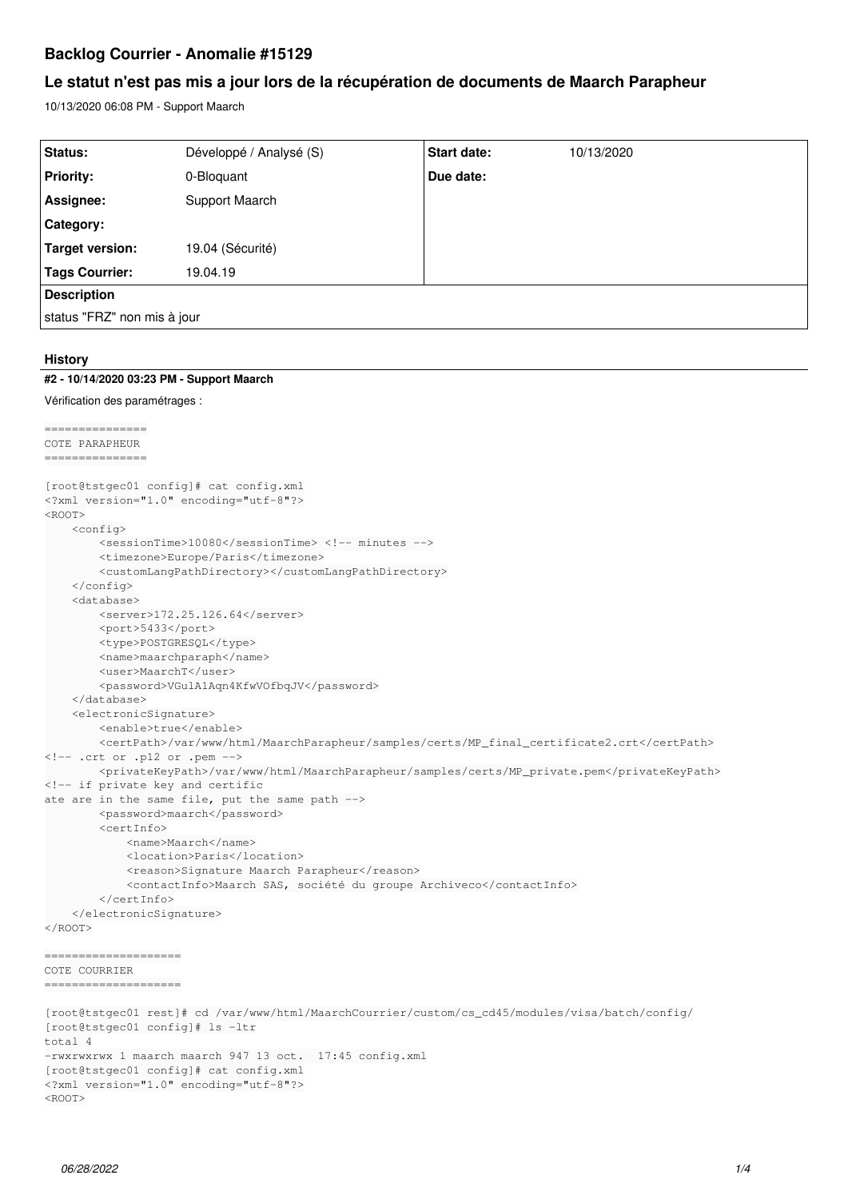# **Backlog Courrier - Anomalie #15129**

# **Le statut n'est pas mis a jour lors de la récupération de documents de Maarch Parapheur**

10/13/2020 06:08 PM - Support Maarch

| Status:                     | Développé / Analysé (S) | <b>Start date:</b> | 10/13/2020 |  |
|-----------------------------|-------------------------|--------------------|------------|--|
| <b>Priority:</b>            | 0-Bloquant              | Due date:          |            |  |
| Assignee:                   | Support Maarch          |                    |            |  |
| Category:                   |                         |                    |            |  |
| Target version:             | 19.04 (Sécurité)        |                    |            |  |
| Tags Courrier:              | 19.04.19                |                    |            |  |
| <b>Description</b>          |                         |                    |            |  |
| status "FRZ" non mis à jour |                         |                    |            |  |

### **History**

#### **#2 - 10/14/2020 03:23 PM - Support Maarch**

```
Vérification des paramétrages :
```

```
===============
COTE PARAPHEUR
===============
[root@tstgec01 config]# cat config.xml
<?xml version="1.0" encoding="utf-8"?>
RROOTS
        <config>
                 <sessionTime>10080</sessionTime> <!-- minutes -->
                 <timezone>Europe/Paris</timezone>
                 <customLangPathDirectory></customLangPathDirectory>
        </config>
         <database>
                 <server>172.25.126.64</server>
                 <port>5433</port>
                 <type>POSTGRESQL</type>
                 <name>maarchparaph</name>
                 <user>MaarchT</user>
                 <password>VGulA1Aqn4KfwVOfbqJV</password>
        </database>
        <electronicSignature>
                 <enable>true</enable>
                 <certPath>/var/www/html/MaarchParapheur/samples/certs/MP_final_certificate2.crt</certPath>
\langle !-- .crt or .p12 or .pem -->
                 <privateKeyPath>/var/www/html/MaarchParapheur/samples/certs/MP_private.pem</privateKeyPath>
<!-- if private key and certific
ate are in the same file, put the same path -->
                 <password>maarch</password>
                 <certInfo>
                          <name>Maarch</name>
                          <location>Paris</location>
                          <reason>Signature Maarch Parapheur</reason>
                          <contactInfo>Maarch SAS, société du groupe Archiveco</contactInfo>
                 </certInfo>
        </electronicSignature>
</ROOT>
====================
COTE COURRIER
====================
```
[root@tstgec01 rest]# cd /var/www/html/MaarchCourrier/custom/cs\_cd45/modules/visa/batch/config/ [root@tstgec01 config]# ls -ltr total 4 -rwxrwxrwx 1 maarch maarch 947 13 oct. 17:45 config.xml [root@tstgec01 config]# cat config.xml <?xml version="1.0" encoding="utf-8"?>  $<$ ROOT $>$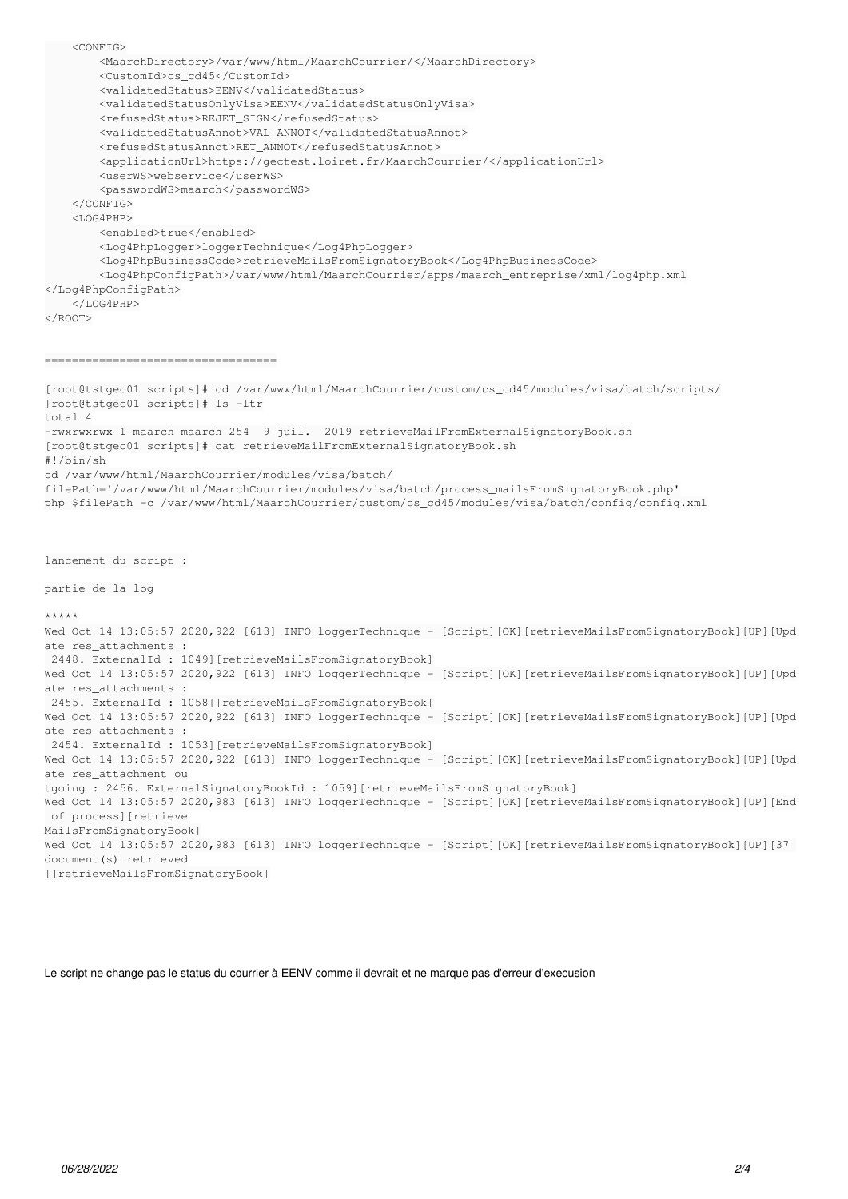<CONFIG> <MaarchDirectory>/var/www/html/MaarchCourrier/</MaarchDirectory> <CustomId>cs\_cd45</CustomId> <validatedStatus>EENV</validatedStatus> <validatedStatusOnlyVisa>EENV</validatedStatusOnlyVisa> <refusedStatus>REJET\_SIGN</refusedStatus> <validatedStatusAnnot>VAL\_ANNOT</validatedStatusAnnot> <refusedStatusAnnot>RET\_ANNOT</refusedStatusAnnot> <applicationUrl>https://gectest.loiret.fr/MaarchCourrier/</applicationUrl> <userWS>webservice</userWS> <passwordWS>maarch</passwordWS> </CONFIG>  $<$ LOG4PHP> <enabled>true</enabled> <Log4PhpLogger>loggerTechnique</Log4PhpLogger> <Log4PhpBusinessCode>retrieveMailsFromSignatoryBook</Log4PhpBusinessCode> <Log4PhpConfigPath>/var/www/html/MaarchCourrier/apps/maarch\_entreprise/xml/log4php.xml </Log4PhpConfigPath> </LOG4PHP> </ROOT> ================================== [root@tstgec01 scripts]# cd /var/www/html/MaarchCourrier/custom/cs\_cd45/modules/visa/batch/scripts/ [root@tstgec01 scripts]# ls -ltr total 4 -rwxrwxrwx 1 maarch maarch 254 9 juil. 2019 retrieveMailFromExternalSignatoryBook.sh [root@tstgec01 scripts]# cat retrieveMailFromExternalSignatoryBook.sh #!/bin/sh cd /var/www/html/MaarchCourrier/modules/visa/batch/ filePath='/var/www/html/MaarchCourrier/modules/visa/batch/process\_mailsFromSignatoryBook.php' php \$filePath -c /var/www/html/MaarchCourrier/custom/cs\_cd45/modules/visa/batch/config/config.xml lancement du script : partie de la log \*\*\*\*\* Wed Oct 14 13:05:57 2020, 922 [613] INFO loggerTechnique - [Script][OK][retrieveMailsFromSignatoryBook][UP][Upd ate res attachments : 2448. ExternalId : 1049][retrieveMailsFromSignatoryBook] Wed Oct 14 13:05:57 2020, 922 [613] INFO loggerTechnique - [Script][OK][retrieveMailsFromSignatoryBook][UP][Upd ate res\_attachments : 2455. ExternalId : 1058][retrieveMailsFromSignatoryBook] Wed Oct 14 13:05:57 2020, 922 [613] INFO loggerTechnique - [Script][OK][retrieveMailsFromSignatoryBook][UP][Upd ate res attachments : 2454. ExternalId : 1053][retrieveMailsFromSignatoryBook] Wed Oct 14 13:05:57 2020,922 [613] INFO loggerTechnique - [Script][OK][retrieveMailsFromSignatoryBook][UP][Upd ate res\_attachment ou tgoing : 2456. ExternalSignatoryBookId : 1059][retrieveMailsFromSignatoryBook] Wed Oct 14 13:05:57 2020,983 [613] INFO loggerTechnique - [Script][OK][retrieveMailsFromSignatoryBook][UP][End of process][retrieve MailsFromSignatoryBook] Wed Oct 14 13:05:57 2020,983 [613] INFO loggerTechnique - [Script][OK][retrieveMailsFromSignatoryBook][UP][37 document(s) retrieved ][retrieveMailsFromSignatoryBook]

Le script ne change pas le status du courrier à EENV comme il devrait et ne marque pas d'erreur d'execusion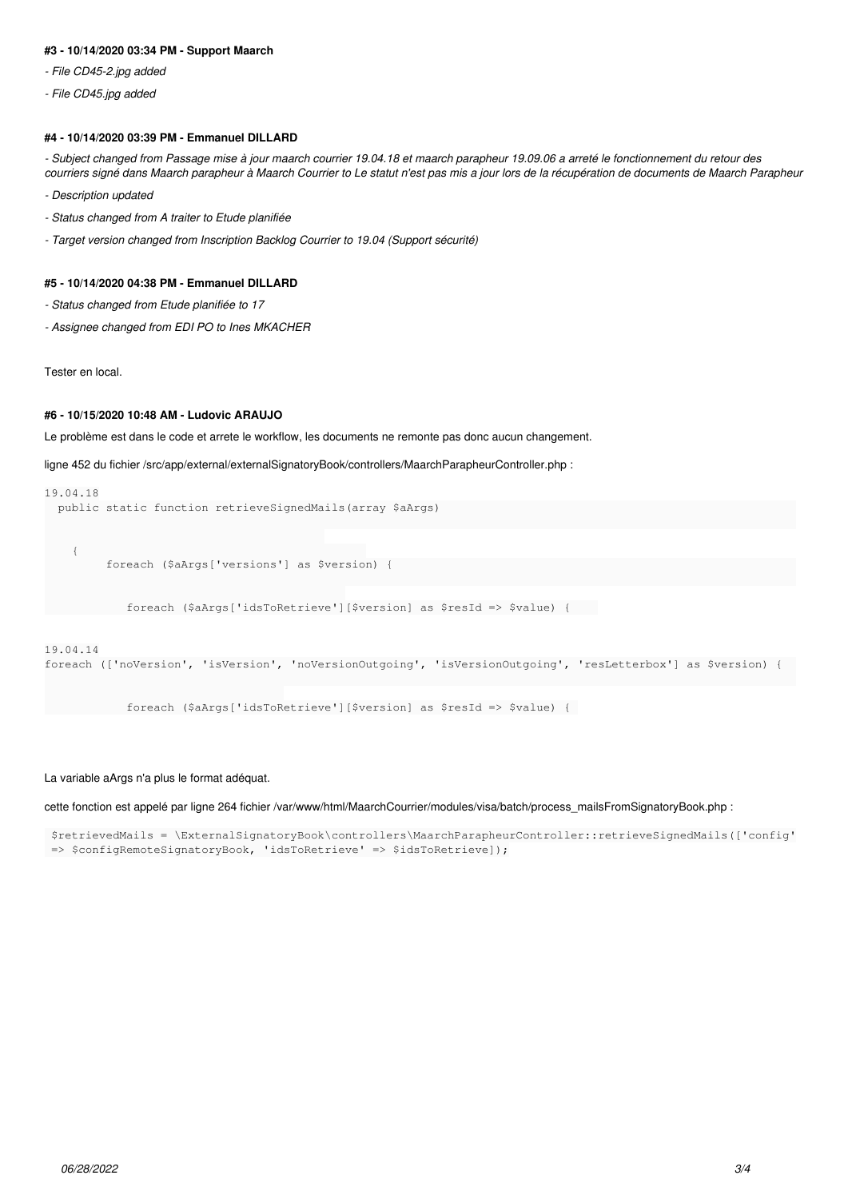### **#3 - 10/14/2020 03:34 PM - Support Maarch**

- *File CD45-2.jpg added*
- *File CD45.jpg added*

# **#4 - 10/14/2020 03:39 PM - Emmanuel DILLARD**

*- Subject changed from Passage mise à jour maarch courrier 19.04.18 et maarch parapheur 19.09.06 a arreté le fonctionnement du retour des courriers signé dans Maarch parapheur à Maarch Courrier to Le statut n'est pas mis a jour lors de la récupération de documents de Maarch Parapheur*

- *Description updated*
- *Status changed from A traiter to Etude planifiée*
- *Target version changed from Inscription Backlog Courrier to 19.04 (Support sécurité)*

### **#5 - 10/14/2020 04:38 PM - Emmanuel DILLARD**

- *Status changed from Etude planifiée to 17*
- *Assignee changed from EDI PO to Ines MKACHER*

Tester en local.

# **#6 - 10/15/2020 10:48 AM - Ludovic ARAUJO**

Le problème est dans le code et arrete le workflow, les documents ne remonte pas donc aucun changement.

```
ligne 452 du fichier /src/app/external/externalSignatoryBook/controllers/MaarchParapheurController.php :
```

```
19.04.18
    public static function retrieveSignedMails(array $aArgs)                                                    
\{         foreach ($aArgs['versions'] as $version) {                                                           
                           foreach ($aArgs['idsToRetrieve'][$version] as $resId => $value) {    
19.04.14
foreach (['noVersion', 'isVersion', 'noVersionOutgoing', 'isVersionOutgoing', 'resLetterbox'] as $version) {  
                          foreach ($aArgs['idsToRetrieve'][$version] as $resId => $value) {
```
#### La variable aArgs n'a plus le format adéquat.

cette fonction est appelé par ligne 264 fichier /var/www/html/MaarchCourrier/modules/visa/batch/process\_mailsFromSignatoryBook.php :

 \$retrievedMails = \ExternalSignatoryBook\controllers\MaarchParapheurController::retrieveSignedMails(['config' => \$configRemoteSignatoryBook, 'idsToRetrieve' => \$idsToRetrieve]);